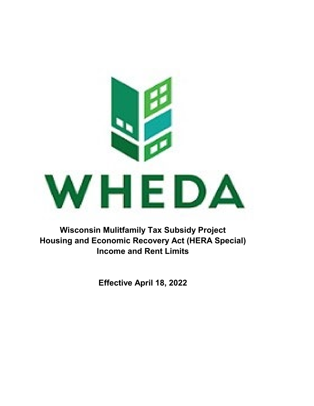

**Wisconsin Mulitfamily Tax Subsidy Project Housing and Economic Recovery Act (HERA Special) Income and Rent Limits**

**Effective April 18, 2022**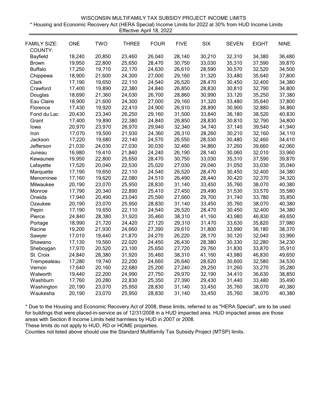| WISCONSIN MULTIFAMILY TAX SUBSIDY PROJECT INCOME LIMITS                                                 |
|---------------------------------------------------------------------------------------------------------|
| * Housing and Economic Recovery Act (HERA Special) Income Limits for 2022 at 30% from HUD Income Limits |
| Effective April 18, 2022                                                                                |

| <b>FAMILY SIZE:</b><br>COUNTY: | <b>ONE</b> | <b>TWO</b> | <b>THREE</b> | <b>FOUR</b> | <b>FIVE</b> | <b>SIX</b> | <b>SEVEN</b> | <b>EIGHT</b> | <b>NINE</b> |
|--------------------------------|------------|------------|--------------|-------------|-------------|------------|--------------|--------------|-------------|
| Bayfield                       | 18,240     | 20,850     | 23,460       | 26,040      | 28,140      | 30,210     | 32,310       | 34,380       | 36,480      |
| <b>Brown</b>                   | 19,950     | 22,800     | 25,650       | 28,470      | 30,750      | 33,030     | 35,310       | 37,590       | 39,870      |
| <b>Buffalo</b>                 | 17,250     | 19,710     | 22,170       | 24,630      | 26,610      | 28,590     | 30,570       | 32,520       | 34,500      |
| Chippewa                       | 18,900     | 21,600     | 24,300       | 27,000      | 29,160      | 31,320     | 33,480       | 35,640       | 37,800      |
| Clark                          | 17,190     | 19,650     | 22,110       | 24,540      | 26,520      | 28,470     | 30,450       | 32,400       | 34,380      |
| Crawford                       | 17,400     | 19,890     | 22,380       | 24,840      | 26,850      | 28,830     | 30,810       | 32,790       | 34,800      |
| Douglas                        | 18,690     | 21,360     | 24,030       | 26,700      | 28,860      | 30,990     | 33,120       | 35,250       | 37,380      |
| Eau Claire                     | 18,900     | 21,600     | 24,300       | 27,000      | 29,160      | 31,320     | 33,480       | 35,640       | 37,800      |
| Florence                       | 17,430     | 19,920     | 22,410       | 24,900      | 26,910      | 28,890     | 30,900       | 32,880       | 34,860      |
| Fond du Lac                    | 20,430     | 23,340     | 26,250       | 29,160      | 31,500      | 33,840     | 36,180       | 38,520       | 40,830      |
| Grant                          | 17,400     | 19,890     | 22,380       | 24,840      | 26,850      | 28,830     | 30,810       | 32,790       | 34,800      |
| lowa                           | 20,970     | 23,970     | 26,970       | 29,940      | 32,340      | 34,740     | 37,140       | 39,540       | 41,940      |
| Iron                           | 17,070     | 19,500     | 21,930       | 24,360      | 26,310      | 28,260     | 30,210       | 32,160       | 34,110      |
| Jackson                        | 17,220     | 19,680     | 22,140       | 24,570      | 26,550      | 28,530     | 30,480       | 32,460       | 34,410      |
| Jefferson                      | 21,030     | 24,030     | 27,030       | 30,030      | 32,460      | 34,860     | 37,260       | 39,660       | 42,060      |
| Juneau                         | 16,980     | 19,410     | 21,840       | 24,240      | 26,190      | 28,140     | 30,060       | 32,010       | 33,960      |
| Kewaunee                       | 19,950     | 22,800     | 25,650       | 28,470      | 30,750      | 33,030     | 35,310       | 37,590       | 39,870      |
| Lafayette                      | 17,520     | 20,040     | 22,530       | 25,020      | 27,030      | 29,040     | 31,050       | 33,030       | 35,040      |
| Marquette                      | 17,190     | 19,650     | 22,110       | 24,540      | 26,520      | 28,470     | 30,450       | 32,400       | 34,380      |
| Menominee                      | 17,160     | 19,620     | 22,080       | 24,510      | 26,490      | 28,440     | 30,420       | 32,370       | 34,320      |
| Milwaukee                      | 20,190     | 23,070     | 25,950       | 28,830      | 31,140      | 33,450     | 35,760       | 38,070       | 40,380      |
| Monroe                         | 17,790     | 20,340     | 22,890       | 25,410      | 27,450      | 29,490     | 31,530       | 33,570       | 35,580      |
| Oneida                         | 17,940     | 20,490     | 23,040       | 25,590      | 27,660      | 29,700     | 31,740       | 33,780       | 35,850      |
| Ozaukee                        | 20,190     | 23,070     | 25,950       | 28,830      | 31,140      | 33,450     | 35,760       | 38,070       | 40,380      |
| Pepin                          | 17,190     | 19,650     | 22,110       | 24,540      | 26,520      | 28,470     | 30,450       | 32,400       | 34,380      |
| Pierce                         | 24,840     | 28,380     | 31,920       | 35,460      | 38,310      | 41,160     | 43,980       | 46,830       | 49,650      |
| Portage                        | 18,990     | 21,720     | 24,420       | 27,120      | 29,310      | 31,470     | 33,630       | 35,820       | 37,980      |
| Racine                         | 19,200     | 21,930     | 24,660       | 27,390      | 29,610      | 31,800     | 33,990       | 36,180       | 38,370      |
| Sawyer                         | 17,010     | 19,440     | 21,870       | 24,270      | 26,220      | 28,170     | 30,120       | 32,040       | 33,990      |
| Shawano                        | 17,130     | 19,560     | 22,020       | 24,450      | 26,430      | 28,380     | 30,330       | 32,280       | 34,230      |
| Sheboygan                      | 17,970     | 20,520     | 23,100       | 25,650      | 27,720      | 29,760     | 31,830       | 33,870       | 35,910      |
| St. Croix                      | 24,840     | 28,380     | 31,920       | 35,460      | 38,310      | 41,160     | 43,980       | 46,830       | 49,650      |
| Trempealeau                    | 17,280     | 19,740     | 22,200       | 24,660      | 26,640      | 28,620     | 30,600       | 32,580       | 34,530      |
| Vernon                         | 17,640     | 20,160     | 22,680       | 25,200      | 27,240      | 29,250     | 31,260       | 33,270       | 35,280      |
| Walworth                       | 19,440     | 22,200     | 24,990       | 27,750      | 29,970      | 32,190     | 34,410       | 36,630       | 38,850      |
| Washburn                       | 17,760     | 20,280     | 22,830       | 25,350      | 27,390      | 29,430     | 31,440       | 33,480       | 35,490      |
| Washington                     | 20,190     | 23,070     | 25,950       | 28,830      | 31,140      | 33,450     | 35,760       | 38,070       | 40,380      |
| Waukesha                       | 20,190     | 23,070     | 25,950       | 28,830      | 31,140      | 33,450     | 35,760       | 38,070       | 40,380      |

These limits do not apply to HUD, RD or HOME properties.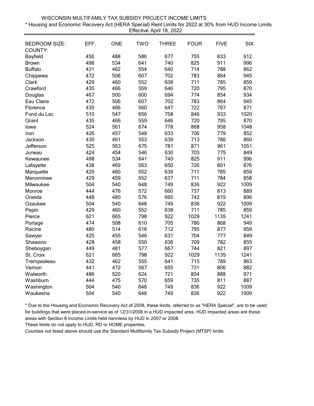| WISCONSIN MULTIFAMILY TAX SUBSIDY PROJECT INCOME LIMITS                                               |  |
|-------------------------------------------------------------------------------------------------------|--|
| * Housing and Economic Recovery Act (HERA Special) Rent Limits for 2022 at 30% from HUD Income Limits |  |
| Effective April 18, 2022                                                                              |  |

| <b>BEDROOM SIZE:</b><br>COUNTY: | EFF. | <b>ONE</b> | <b>TWO</b> | THREE | <b>FOUR</b> | <b>FIVE</b> | <b>SIX</b> |
|---------------------------------|------|------------|------------|-------|-------------|-------------|------------|
| Bayfield                        | 456  | 488        | 586        | 677   | 755         | 833         | 912        |
| <b>Brown</b>                    | 498  | 534        | 641        | 740   | 825         | 911         | 996        |
| <b>Buffalo</b>                  | 431  | 462        | 554        | 640   | 714         | 788         | 862        |
| Chippewa                        | 472  | 506        | 607        | 702   | 783         | 864         | 945        |
| Clark                           | 429  | 460        | 552        | 638   | 711         | 785         | 859        |
| Crawford                        | 435  | 466        | 559        | 646   | 720         | 795         | 870        |
| Douglas                         | 467  | 500        | 600        | 694   | 774         | 854         | 934        |
| Eau Claire                      | 472  | 506        | 607        | 702   | 783         | 864         | 945        |
| Florence                        | 435  | 466        | 560        | 647   | 722         | 797         | 871        |
| Fond du Lac                     | 510  | 547        | 656        | 758   | 846         | 933         | 1020       |
| Grant                           | 435  | 466        | 559        | 646   | 720         | 795         | 870        |
| lowa                            | 524  | 561        | 674        | 778   | 868         | 958         | 1048       |
| Iron                            | 426  | 457        | 548        | 633   | 706         | 779         | 852        |
| Jackson                         | 430  | 461        | 553        | 639   | 713         | 786         | 860        |
| Jefferson                       | 525  | 563        | 675        | 781   | 871         | 961         | 1051       |
| Juneau                          | 424  | 454        | 546        | 630   | 703         | 775         | 849        |
| Kewaunee                        | 498  | 534        | 641        | 740   | 825         | 911         | 996        |
| Lafayette                       | 438  | 469        | 563        | 650   | 726         | 801         | 876        |
| Marquette                       | 429  | 460        | 552        | 638   | 711         | 785         | 859        |
| Menominee                       | 429  | 459        | 552        | 637   | 711         | 784         | 858        |
| Milwaukee                       | 504  | 540        | 648        | 749   | 836         | 922         | 1009       |
| Monroe                          | 444  | 476        | 572        | 660   | 737         | 813         | 889        |
| Oneida                          | 448  | 480        | 576        | 665   | 742         | 819         | 896        |
| Ozaukee                         | 504  | 540        | 648        | 749   | 836         | 922         | 1009       |
| Pepin                           | 429  | 460        | 552        | 638   | 711         | 785         | 859        |
| Pierce                          | 621  | 665        | 798        | 922   | 1029        | 1135        | 1241       |
| Portage                         | 474  | 508        | 610        | 705   | 786         | 868         | 949        |
| Racine                          | 480  | 514        | 616        | 712   | 795         | 877         | 959        |
| Sawyer                          | 425  | 455        | 546        | 631   | 704         | 777         | 849        |
| Shawano                         | 428  | 458        | 550        | 636   | 709         | 782         | 855        |
| Sheboygan                       | 449  | 481        | 577        | 667   | 744         | 821         | 897        |
| St. Croix                       | 621  | 665        | 798        | 922   | 1029        | 1135        | 1241       |
| Trempealeau                     | 432  | 462        | 555        | 641   | 715         | 789         | 863        |
| Vernon                          | 441  | 472        | 567        | 655   | 731         | 806         | 882        |
| Walworth                        | 486  | 520        | 624        | 721   | 804         | 888         | 971        |
| Washburn                        | 444  | 475        | 570        | 659   | 735         | 811         | 887        |
| Washington                      | 504  | 540        | 648        | 749   | 836         | 922         | 1009       |
| Waukesha                        | 504  | 540        | 648        | 749   | 836         | 922         | 1009       |

These limits do not apply to HUD, RD or HOME properties.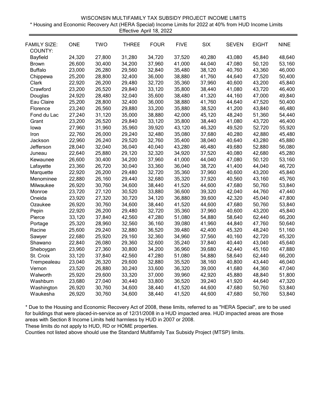| WISCONSIN MULTIFAMILY TAX SUBSIDY PROJECT INCOME LIMITS                                                 |  |
|---------------------------------------------------------------------------------------------------------|--|
| * Housing and Economic Recovery Act (HERA Special) Income Limits for 2022 at 40% from HUD Income Limits |  |
| Effective April 18, 2022                                                                                |  |

| <b>FAMILY SIZE:</b><br>COUNTY: | <b>ONE</b> | <b>TWO</b> | <b>THREE</b> | <b>FOUR</b> | <b>FIVE</b> | <b>SIX</b> | <b>SEVEN</b> | <b>EIGHT</b> | <b>NINE</b> |
|--------------------------------|------------|------------|--------------|-------------|-------------|------------|--------------|--------------|-------------|
| Bayfield                       | 24,320     | 27,800     | 31,280       | 34,720      | 37,520      | 40,280     | 43,080       | 45,840       | 48,640      |
| <b>Brown</b>                   | 26,600     | 30,400     | 34,200       | 37,960      | 41,000      | 44,040     | 47,080       | 50,120       | 53,160      |
| <b>Buffalo</b>                 | 23,000     | 26,280     | 29,560       | 32,840      | 35,480      | 38,120     | 40,760       | 43,360       | 46,000      |
| Chippewa                       | 25,200     | 28,800     | 32,400       | 36,000      | 38,880      | 41,760     | 44,640       | 47,520       | 50,400      |
| Clark                          | 22,920     | 26,200     | 29,480       | 32,720      | 35,360      | 37,960     | 40,600       | 43,200       | 45,840      |
| Crawford                       | 23,200     | 26,520     | 29,840       | 33,120      | 35,800      | 38,440     | 41,080       | 43,720       | 46,400      |
| Douglas                        | 24,920     | 28,480     | 32,040       | 35,600      | 38,480      | 41,320     | 44,160       | 47,000       | 49,840      |
| Eau Claire                     | 25,200     | 28,800     | 32,400       | 36,000      | 38,880      | 41,760     | 44,640       | 47,520       | 50,400      |
| Florence                       | 23,240     | 26,560     | 29,880       | 33,200      | 35,880      | 38,520     | 41,200       | 43,840       | 46,480      |
| Fond du Lac                    | 27,240     | 31,120     | 35,000       | 38,880      | 42,000      | 45,120     | 48,240       | 51,360       | 54,440      |
| Grant                          | 23,200     | 26,520     | 29,840       | 33,120      | 35,800      | 38,440     | 41,080       | 43,720       | 46,400      |
| lowa                           | 27,960     | 31,960     | 35,960       | 39,920      | 43,120      | 46,320     | 49,520       | 52,720       | 55,920      |
| Iron                           | 22,760     | 26,000     | 29,240       | 32,480      | 35,080      | 37,680     | 40,280       | 42,880       | 45,480      |
| Jackson                        | 22,960     | 26,240     | 29,520       | 32,760      | 35,400      | 38,040     | 40,640       | 43,280       | 45,880      |
| Jefferson                      | 28,040     | 32,040     | 36,040       | 40,040      | 43,280      | 46,480     | 49,680       | 52,880       | 56,080      |
| Juneau                         | 22,640     | 25,880     | 29,120       | 32,320      | 34,920      | 37,520     | 40,080       | 42,680       | 45,280      |
| Kewaunee                       | 26,600     | 30,400     | 34,200       | 37,960      | 41,000      | 44,040     | 47,080       | 50,120       | 53,160      |
| Lafayette                      | 23,360     | 26,720     | 30,040       | 33,360      | 36,040      | 38,720     | 41,400       | 44,040       | 46,720      |
| Marquette                      | 22,920     | 26,200     | 29,480       | 32,720      | 35,360      | 37,960     | 40,600       | 43,200       | 45,840      |
| Menominee                      | 22,880     | 26,160     | 29,440       | 32,680      | 35,320      | 37,920     | 40,560       | 43,160       | 45,760      |
| Milwaukee                      | 26,920     | 30,760     | 34,600       | 38,440      | 41,520      | 44,600     | 47,680       | 50,760       | 53,840      |
| Monroe                         | 23,720     | 27,120     | 30,520       | 33,880      | 36,600      | 39,320     | 42,040       | 44,760       | 47,440      |
| Oneida                         | 23,920     | 27,320     | 30,720       | 34,120      | 36,880      | 39,600     | 42,320       | 45,040       | 47,800      |
| Ozaukee                        | 26,920     | 30,760     | 34,600       | 38,440      | 41,520      | 44,600     | 47,680       | 50,760       | 53,840      |
| Pepin                          | 22,920     | 26,200     | 29,480       | 32,720      | 35,360      | 37,960     | 40,600       | 43,200       | 45,840      |
| Pierce                         | 33,120     | 37,840     | 42,560       | 47,280      | 51,080      | 54,880     | 58,640       | 62,440       | 66,200      |
| Portage                        | 25,320     | 28,960     | 32,560       | 36,160      | 39,080      | 41,960     | 44,840       | 47,760       | 50,640      |
| Racine                         | 25,600     | 29,240     | 32,880       | 36,520      | 39,480      | 42,400     | 45,320       | 48,240       | 51,160      |
| Sawyer                         | 22,680     | 25,920     | 29,160       | 32,360      | 34,960      | 37,560     | 40,160       | 42,720       | 45,320      |
| Shawano                        | 22,840     | 26,080     | 29,360       | 32,600      | 35,240      | 37,840     | 40,440       | 43,040       | 45,640      |
| Sheboygan                      | 23,960     | 27,360     | 30,800       | 34,200      | 36,960      | 39,680     | 42,440       | 45,160       | 47,880      |
| St. Croix                      | 33,120     | 37,840     | 42,560       | 47,280      | 51,080      | 54,880     | 58,640       | 62,440       | 66,200      |
| Trempealeau                    | 23,040     | 26,320     | 29,600       | 32,880      | 35,520      | 38,160     | 40,800       | 43,440       | 46,040      |
| Vernon                         | 23,520     | 26,880     | 30,240       | 33,600      | 36,320      | 39,000     | 41,680       | 44,360       | 47,040      |
| Walworth                       | 25,920     | 29,600     | 33,320       | 37,000      | 39,960      | 42,920     | 45,880       | 48,840       | 51,800      |
| Washburn                       | 23,680     | 27,040     | 30,440       | 33,800      | 36,520      | 39,240     | 41,920       | 44,640       | 47,320      |
| Washington                     | 26,920     | 30,760     | 34,600       | 38,440      | 41,520      | 44,600     | 47,680       | 50,760       | 53,840      |
| Waukesha                       | 26,920     | 30,760     | 34,600       | 38,440      | 41,520      | 44,600     | 47,680       | 50,760       | 53,840      |

These limits do not apply to HUD, RD or HOME properties.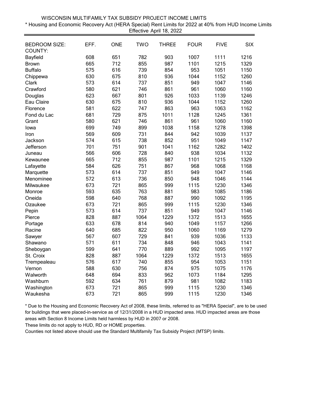| WISCONSIN MULTIFAMILY TAX SUBSIDY PROJECT INCOME LIMITS                                                 |  |
|---------------------------------------------------------------------------------------------------------|--|
| t Housing and Economic Recovery Act (HERA Special) Rent Limits for 2022 at 40% from HUD Income Limits * |  |
| Effective April 18, 2022                                                                                |  |

| <b>BEDROOM SIZE:</b><br>COUNTY: | EFF. | <b>ONE</b> | <b>TWO</b> | <b>THREE</b> | <b>FOUR</b> | <b>FIVE</b> | <b>SIX</b> |
|---------------------------------|------|------------|------------|--------------|-------------|-------------|------------|
| Bayfield                        | 608  | 651        | 782        | 903          | 1007        | 1111        | 1216       |
| <b>Brown</b>                    | 665  | 712        | 855        | 987          | 1101        | 1215        | 1329       |
| <b>Buffalo</b>                  | 575  | 616        | 739        | 854          | 953         | 1051        | 1150       |
| Chippewa                        | 630  | 675        | 810        | 936          | 1044        | 1152        | 1260       |
| Clark                           | 573  | 614        | 737        | 851          | 949         | 1047        | 1146       |
| Crawford                        | 580  | 621        | 746        | 861          | 961         | 1060        | 1160       |
| Douglas                         | 623  | 667        | 801        | 926          | 1033        | 1139        | 1246       |
| Eau Claire                      | 630  | 675        | 810        | 936          | 1044        | 1152        | 1260       |
| Florence                        | 581  | 622        | 747        | 863          | 963         | 1063        | 1162       |
| Fond du Lac                     | 681  | 729        | 875        | 1011         | 1128        | 1245        | 1361       |
| Grant                           | 580  | 621        | 746        | 861          | 961         | 1060        | 1160       |
| lowa                            | 699  | 749        | 899        | 1038         | 1158        | 1278        | 1398       |
| Iron                            | 569  | 609        | 731        | 844          | 942         | 1039        | 1137       |
| Jackson                         | 574  | 615        | 738        | 852          | 951         | 1049        | 1147       |
| Jefferson                       | 701  | 751        | 901        | 1041         | 1162        | 1282        | 1402       |
| Juneau                          | 566  | 606        | 728        | 840          | 938         | 1034        | 1132       |
| Kewaunee                        | 665  | 712        | 855        | 987          | 1101        | 1215        | 1329       |
| Lafayette                       | 584  | 626        | 751        | 867          | 968         | 1068        | 1168       |
| Marquette                       | 573  | 614        | 737        | 851          | 949         | 1047        | 1146       |
| Menominee                       | 572  | 613        | 736        | 850          | 948         | 1046        | 1144       |
| Milwaukee                       | 673  | 721        | 865        | 999          | 1115        | 1230        | 1346       |
| Monroe                          | 593  | 635        | 763        | 881          | 983         | 1085        | 1186       |
| Oneida                          | 598  | 640        | 768        | 887          | 990         | 1092        | 1195       |
| Ozaukee                         | 673  | 721        | 865        | 999          | 1115        | 1230        | 1346       |
| Pepin                           | 573  | 614        | 737        | 851          | 949         | 1047        | 1146       |
| Pierce                          | 828  | 887        | 1064       | 1229         | 1372        | 1513        | 1655       |
| Portage                         | 633  | 678        | 814        | 940          | 1049        | 1157        | 1266       |
| Racine                          | 640  | 685        | 822        | 950          | 1060        | 1169        | 1279       |
| Sawyer                          | 567  | 607        | 729        | 841          | 939         | 1036        | 1133       |
| Shawano                         | 571  | 611        | 734        | 848          | 946         | 1043        | 1141       |
| Sheboygan                       | 599  | 641        | 770        | 889          | 992         | 1095        | 1197       |
| St. Croix                       | 828  | 887        | 1064       | 1229         | 1372        | 1513        | 1655       |
| Trempealeau                     | 576  | 617        | 740        | 855          | 954         | 1053        | 1151       |
| Vernon                          | 588  | 630        | 756        | 874          | 975         | 1075        | 1176       |
| Walworth                        | 648  | 694        | 833        | 962          | 1073        | 1184        | 1295       |
| Washburn                        | 592  | 634        | 761        | 879          | 981         | 1082        | 1183       |
| Washington                      | 673  | 721        | 865        | 999          | 1115        | 1230        | 1346       |
| Waukesha                        | 673  | 721        | 865        | 999          | 1115        | 1230        | 1346       |

These limits do not apply to HUD, RD or HOME properties.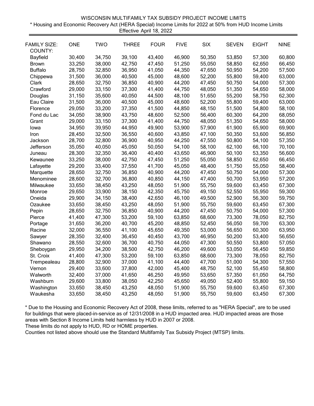| WISCONSIN MULTIFAMILY TAX SUBSIDY PROJECT INCOME LIMITS                                                 |
|---------------------------------------------------------------------------------------------------------|
| * Housing and Economic Recovery Act (HERA Special) Income Limits for 2022 at 50% from HUD Income Limits |
| Effective April 18, 2022                                                                                |

| <b>FAMILY SIZE:</b><br>COUNTY: | <b>ONE</b> | <b>TWO</b> | <b>THREE</b> | <b>FOUR</b> | <b>FIVE</b> | <b>SIX</b> | <b>SEVEN</b> | <b>EIGHT</b> | <b>NINE</b> |
|--------------------------------|------------|------------|--------------|-------------|-------------|------------|--------------|--------------|-------------|
| Bayfield                       | 30,400     | 34,750     | 39,100       | 43,400      | 46,900      | 50,350     | 53,850       | 57,300       | 60,800      |
| <b>Brown</b>                   | 33,250     | 38,000     | 42,750       | 47,450      | 51,250      | 55,050     | 58,850       | 62,650       | 66,450      |
| <b>Buffalo</b>                 | 28,750     | 32,850     | 36,950       | 41,050      | 44,350      | 47,650     | 50,950       | 54,200       | 57,500      |
| Chippewa                       | 31,500     | 36,000     | 40,500       | 45,000      | 48,600      | 52,200     | 55,800       | 59,400       | 63,000      |
| Clark                          | 28,650     | 32,750     | 36,850       | 40,900      | 44,200      | 47,450     | 50,750       | 54,000       | 57,300      |
| Crawford                       | 29,000     | 33,150     | 37,300       | 41,400      | 44,750      | 48,050     | 51,350       | 54,650       | 58,000      |
| Douglas                        | 31,150     | 35,600     | 40,050       | 44,500      | 48,100      | 51,650     | 55,200       | 58,750       | 62,300      |
| Eau Claire                     | 31,500     | 36,000     | 40,500       | 45,000      | 48,600      | 52,200     | 55,800       | 59,400       | 63,000      |
| Florence                       | 29,050     | 33,200     | 37,350       | 41,500      | 44,850      | 48,150     | 51,500       | 54,800       | 58,100      |
| Fond du Lac                    | 34,050     | 38,900     | 43,750       | 48,600      | 52,500      | 56,400     | 60,300       | 64,200       | 68,050      |
| Grant                          | 29,000     | 33,150     | 37,300       | 41,400      | 44,750      | 48,050     | 51,350       | 54,650       | 58,000      |
| lowa                           | 34,950     | 39,950     | 44,950       | 49,900      | 53,900      | 57,900     | 61,900       | 65,900       | 69,900      |
| Iron                           | 28,450     | 32,500     | 36,550       | 40,600      | 43,850      | 47,100     | 50,350       | 53,600       | 56,850      |
| Jackson                        | 28,700     | 32,800     | 36,900       | 40,950      | 44,250      | 47,550     | 50,800       | 54,100       | 57,350      |
| Jefferson                      | 35,050     | 40,050     | 45,050       | 50,050      | 54,100      | 58,100     | 62,100       | 66,100       | 70,100      |
| Juneau                         | 28,300     | 32,350     | 36,400       | 40,400      | 43,650      | 46,900     | 50,100       | 53,350       | 56,600      |
| Kewaunee                       | 33,250     | 38,000     | 42,750       | 47,450      | 51,250      | 55,050     | 58,850       | 62,650       | 66,450      |
| Lafayette                      | 29,200     | 33,400     | 37,550       | 41,700      | 45,050      | 48,400     | 51,750       | 55,050       | 58,400      |
| Marquette                      | 28,650     | 32,750     | 36,850       | 40,900      | 44,200      | 47,450     | 50,750       | 54,000       | 57,300      |
| Menominee                      | 28,600     | 32,700     | 36,800       | 40,850      | 44,150      | 47,400     | 50,700       | 53,950       | 57,200      |
| Milwaukee                      | 33,650     | 38,450     | 43,250       | 48,050      | 51,900      | 55,750     | 59,600       | 63,450       | 67,300      |
| Monroe                         | 29,650     | 33,900     | 38,150       | 42,350      | 45,750      | 49,150     | 52,550       | 55,950       | 59,300      |
| Oneida                         | 29,900     | 34,150     | 38,400       | 42,650      | 46,100      | 49,500     | 52,900       | 56,300       | 59,750      |
| Ozaukee                        | 33,650     | 38,450     | 43,250       | 48,050      | 51,900      | 55,750     | 59,600       | 63,450       | 67,300      |
| Pepin                          | 28,650     | 32,750     | 36,850       | 40,900      | 44,200      | 47,450     | 50,750       | 54,000       | 57,300      |
| Pierce                         | 41,400     | 47,300     | 53,200       | 59,100      | 63,850      | 68,600     | 73,300       | 78,050       | 82,750      |
| Portage                        | 31,650     | 36,200     | 40,700       | 45,200      | 48,850      | 52,450     | 56,050       | 59,700       | 63,300      |
| Racine                         | 32,000     | 36,550     | 41,100       | 45,650      | 49,350      | 53,000     | 56,650       | 60,300       | 63,950      |
| Sawyer                         | 28,350     | 32,400     | 36,450       | 40,450      | 43,700      | 46,950     | 50,200       | 53,400       | 56,650      |
| Shawano                        | 28,550     | 32,600     | 36,700       | 40,750      | 44,050      | 47,300     | 50,550       | 53,800       | 57,050      |
| Sheboygan                      | 29,950     | 34,200     | 38,500       | 42,750      | 46,200      | 49,600     | 53,050       | 56,450       | 59,850      |
| St. Croix                      | 41,400     | 47,300     | 53,200       | 59,100      | 63,850      | 68,600     | 73,300       | 78,050       | 82,750      |
| Trempealeau                    | 28,800     | 32,900     | 37,000       | 41,100      | 44,400      | 47,700     | 51,000       | 54,300       | 57,550      |
| Vernon                         | 29,400     | 33,600     | 37,800       | 42,000      | 45,400      | 48,750     | 52,100       | 55,450       | 58,800      |
| Walworth                       | 32,400     | 37,000     | 41,650       | 46,250      | 49,950      | 53,650     | 57,350       | 61,050       | 64,750      |
| Washburn                       | 29,600     | 33,800     | 38,050       | 42,250      | 45,650      | 49,050     | 52,400       | 55,800       | 59,150      |
| Washington                     | 33,650     | 38,450     | 43,250       | 48,050      | 51,900      | 55,750     | 59,600       | 63,450       | 67,300      |
| Waukesha                       | 33,650     | 38,450     | 43,250       | 48,050      | 51,900      | 55,750     | 59,600       | 63,450       | 67,300      |

These limits do not apply to HUD, RD or HOME properties.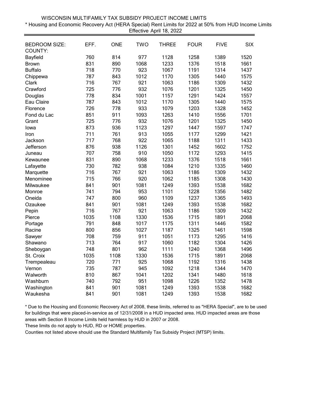| WISCONSIN MULTIFAMILY TAX SUBSIDY PROJECT INCOME LIMITS                                                 |
|---------------------------------------------------------------------------------------------------------|
| t Housing and Economic Recovery Act (HERA Special) Rent Limits for 2022 at 50% from HUD Income Limits * |
| Effective April 18, 2022                                                                                |

| <b>BEDROOM SIZE:</b> | EFF. | <b>ONE</b> | <b>TWO</b> | <b>THREE</b> | <b>FOUR</b> | <b>FIVE</b> | <b>SIX</b> |
|----------------------|------|------------|------------|--------------|-------------|-------------|------------|
| COUNTY:              |      |            |            |              |             |             |            |
| Bayfield             | 760  | 814        | 977        | 1128         | 1258        | 1389        | 1520       |
| <b>Brown</b>         | 831  | 890        | 1068       | 1233         | 1376        | 1518        | 1661       |
| <b>Buffalo</b>       | 718  | 770        | 923        | 1067         | 1191        | 1314        | 1437       |
| Chippewa             | 787  | 843        | 1012       | 1170         | 1305        | 1440        | 1575       |
| Clark                | 716  | 767        | 921        | 1063         | 1186        | 1309        | 1432       |
| Crawford             | 725  | 776        | 932        | 1076         | 1201        | 1325        | 1450       |
| Douglas              | 778  | 834        | 1001       | 1157         | 1291        | 1424        | 1557       |
| Eau Claire           | 787  | 843        | 1012       | 1170         | 1305        | 1440        | 1575       |
| Florence             | 726  | 778        | 933        | 1079         | 1203        | 1328        | 1452       |
| Fond du Lac          | 851  | 911        | 1093       | 1263         | 1410        | 1556        | 1701       |
| Grant                | 725  | 776        | 932        | 1076         | 1201        | 1325        | 1450       |
| lowa                 | 873  | 936        | 1123       | 1297         | 1447        | 1597        | 1747       |
| Iron                 | 711  | 761        | 913        | 1055         | 1177        | 1299        | 1421       |
| Jackson              | 717  | 768        | 922        | 1065         | 1188        | 1311        | 1433       |
| Jefferson            | 876  | 938        | 1126       | 1301         | 1452        | 1602        | 1752       |
| Juneau               | 707  | 758        | 910        | 1050         | 1172        | 1293        | 1415       |
| Kewaunee             | 831  | 890        | 1068       | 1233         | 1376        | 1518        | 1661       |
| Lafayette            | 730  | 782        | 938        | 1084         | 1210        | 1335        | 1460       |
| Marquette            | 716  | 767        | 921        | 1063         | 1186        | 1309        | 1432       |
| Menominee            | 715  | 766        | 920        | 1062         | 1185        | 1308        | 1430       |
| Milwaukee            | 841  | 901        | 1081       | 1249         | 1393        | 1538        | 1682       |
| Monroe               | 741  | 794        | 953        | 1101         | 1228        | 1356        | 1482       |
| Oneida               | 747  | 800        | 960        | 1109         | 1237        | 1365        | 1493       |
| Ozaukee              | 841  | 901        | 1081       | 1249         | 1393        | 1538        | 1682       |
| Pepin                | 716  | 767        | 921        | 1063         | 1186        | 1309        | 1432       |
| Pierce               | 1035 | 1108       | 1330       | 1536         | 1715        | 1891        | 2068       |
| Portage              | 791  | 848        | 1017       | 1175         | 1311        | 1446        | 1582       |
| Racine               | 800  | 856        | 1027       | 1187         | 1325        | 1461        | 1598       |
| Sawyer               | 708  | 759        | 911        | 1051         | 1173        | 1295        | 1416       |
| Shawano              | 713  | 764        | 917        | 1060         | 1182        | 1304        | 1426       |
| Sheboygan            | 748  | 801        | 962        | 1111         | 1240        | 1368        | 1496       |
| St. Croix            | 1035 | 1108       | 1330       | 1536         | 1715        | 1891        | 2068       |
| Trempealeau          | 720  | 771        | 925        | 1068         | 1192        | 1316        | 1438       |
| Vernon               | 735  | 787        | 945        | 1092         | 1218        | 1344        | 1470       |
| Walworth             | 810  | 867        | 1041       | 1202         | 1341        | 1480        | 1618       |
| Washburn             | 740  | 792        | 951        | 1098         | 1226        | 1352        | 1478       |
| Washington           | 841  | 901        | 1081       | 1249         | 1393        | 1538        | 1682       |
| Waukesha             | 841  | 901        | 1081       | 1249         | 1393        | 1538        | 1682       |

These limits do not apply to HUD, RD or HOME properties.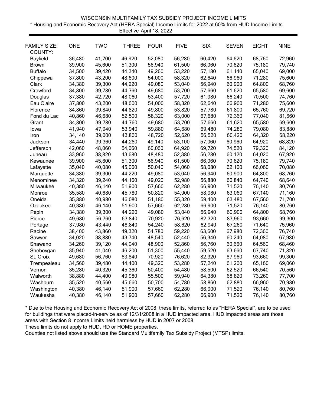| WISCONSIN MULTIFAMILY TAX SUBSIDY PROJECT INCOME LIMITS                                                 |
|---------------------------------------------------------------------------------------------------------|
| * Housing and Economic Recovery Act (HERA Special) Income Limits for 2022 at 60% from HUD Income Limits |
| Effective April 18, 2022                                                                                |

|                                |                  | <b>TWO</b> | <b>THREE</b> | <b>FOUR</b> |             | <b>SIX</b> |              | <b>EIGHT</b> |             |
|--------------------------------|------------------|------------|--------------|-------------|-------------|------------|--------------|--------------|-------------|
| <b>FAMILY SIZE:</b><br>COUNTY: | <b>ONE</b>       |            |              |             | <b>FIVE</b> |            | <b>SEVEN</b> |              | <b>NINE</b> |
| Bayfield                       | 36,480           | 41,700     | 46,920       | 52,080      | 56,280      | 60,420     | 64,620       | 68,760       | 72,960      |
| <b>Brown</b>                   | 39,900           | 45,600     | 51,300       | 56,940      | 61,500      | 66,060     | 70,620       | 75,180       | 79,740      |
| <b>Buffalo</b>                 | 34,500           | 39,420     | 44,340       | 49,260      | 53,220      | 57,180     | 61,140       | 65,040       | 69,000      |
| Chippewa                       | 37,800           | 43,200     | 48,600       | 54,000      | 58,320      | 62,640     | 66,960       | 71,280       | 75,600      |
| Clark                          |                  | 39,300     | 44,220       | 49,080      | 53,040      | 56,940     | 60,900       | 64,800       | 68,760      |
|                                | 34,380<br>34,800 | 39,780     | 44,760       | 49,680      | 53,700      | 57,660     | 61,620       |              | 69,600      |
| Crawford                       |                  |            |              |             |             |            |              | 65,580       |             |
| Douglas                        | 37,380           | 42,720     | 48,060       | 53,400      | 57,720      | 61,980     | 66,240       | 70,500       | 74,760      |
| Eau Claire                     | 37,800           | 43,200     | 48,600       | 54,000      | 58,320      | 62,640     | 66,960       | 71,280       | 75,600      |
| Florence                       | 34,860           | 39,840     | 44,820       | 49,800      | 53,820      | 57,780     | 61,800       | 65,760       | 69,720      |
| Fond du Lac                    | 40,860           | 46,680     | 52,500       | 58,320      | 63,000      | 67,680     | 72,360       | 77,040       | 81,660      |
| Grant                          | 34,800           | 39,780     | 44,760       | 49,680      | 53,700      | 57,660     | 61,620       | 65,580       | 69,600      |
| lowa                           | 41,940           | 47,940     | 53,940       | 59,880      | 64,680      | 69,480     | 74,280       | 79,080       | 83,880      |
| Iron                           | 34,140           | 39,000     | 43,860       | 48,720      | 52,620      | 56,520     | 60,420       | 64,320       | 68,220      |
| Jackson                        | 34,440           | 39,360     | 44,280       | 49,140      | 53,100      | 57,060     | 60,960       | 64,920       | 68,820      |
| Jefferson                      | 42,060           | 48,060     | 54,060       | 60,060      | 64,920      | 69,720     | 74,520       | 79,320       | 84,120      |
| Juneau                         | 33,960           | 38,820     | 43,680       | 48,480      | 52,380      | 56,280     | 60,120       | 64,020       | 67,920      |
| Kewaunee                       | 39,900           | 45,600     | 51,300       | 56,940      | 61,500      | 66,060     | 70,620       | 75,180       | 79,740      |
| Lafayette                      | 35,040           | 40,080     | 45,060       | 50,040      | 54,060      | 58,080     | 62,100       | 66,060       | 70,080      |
| Marquette                      | 34,380           | 39,300     | 44,220       | 49,080      | 53,040      | 56,940     | 60,900       | 64,800       | 68,760      |
| Menominee                      | 34,320           | 39,240     | 44,160       | 49,020      | 52,980      | 56,880     | 60,840       | 64,740       | 68,640      |
| Milwaukee                      | 40,380           | 46,140     | 51,900       | 57,660      | 62,280      | 66,900     | 71,520       | 76,140       | 80,760      |
| Monroe                         | 35,580           | 40,680     | 45,780       | 50,820      | 54,900      | 58,980     | 63,060       | 67,140       | 71,160      |
| Oneida                         | 35,880           | 40,980     | 46,080       | 51,180      | 55,320      | 59,400     | 63,480       | 67,560       | 71,700      |
| Ozaukee                        | 40,380           | 46,140     | 51,900       | 57,660      | 62,280      | 66,900     | 71,520       | 76,140       | 80,760      |
| Pepin                          | 34,380           | 39,300     | 44,220       | 49,080      | 53,040      | 56,940     | 60,900       | 64,800       | 68,760      |
| Pierce                         | 49,680           | 56,760     | 63,840       | 70,920      | 76,620      | 82,320     | 87,960       | 93,660       | 99,300      |
| Portage                        | 37,980           | 43,440     | 48,840       | 54,240      | 58,620      | 62,940     | 67,260       | 71,640       | 75,960      |
| Racine                         | 38,400           | 43,860     | 49,320       | 54,780      | 59,220      | 63,600     | 67,980       | 72,360       | 76,740      |
| Sawyer                         | 34,020           | 38,880     | 43,740       | 48,540      | 52,440      | 56,340     | 60,240       | 64,080       | 67,980      |
| Shawano                        | 34,260           | 39,120     | 44,040       | 48,900      | 52,860      | 56,760     | 60,660       | 64,560       | 68,460      |
| Sheboygan                      | 35,940           | 41,040     | 46,200       | 51,300      | 55,440      | 59,520     | 63,660       | 67,740       | 71,820      |
| St. Croix                      | 49,680           | 56,760     | 63,840       | 70,920      | 76,620      | 82,320     | 87,960       | 93,660       | 99,300      |
| Trempealeau                    | 34,560           | 39,480     | 44,400       | 49,320      | 53,280      | 57,240     | 61,200       | 65,160       | 69,060      |
| Vernon                         | 35,280           | 40,320     | 45,360       | 50,400      | 54,480      | 58,500     | 62,520       | 66,540       | 70,560      |
| Walworth                       | 38,880           | 44,400     | 49,980       | 55,500      | 59,940      | 64,380     | 68,820       | 73,260       | 77,700      |
| Washburn                       | 35,520           | 40,560     | 45,660       | 50,700      | 54,780      | 58,860     | 62,880       | 66,960       | 70,980      |
| Washington                     | 40,380           | 46,140     | 51,900       | 57,660      | 62,280      | 66,900     | 71,520       | 76,140       | 80,760      |
| Waukesha                       | 40,380           | 46,140     | 51,900       | 57,660      | 62,280      | 66,900     | 71,520       | 76,140       | 80,760      |
|                                |                  |            |              |             |             |            |              |              |             |

These limits do not apply to HUD, RD or HOME properties.